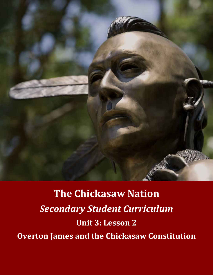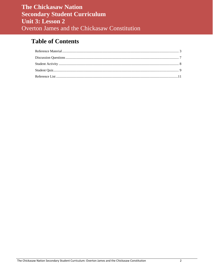# **Table of Contents**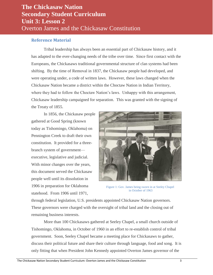#### <span id="page-2-0"></span>**Reference Material**

Tribal leadership has always been an essential part of Chickasaw history, and it has adapted to the ever-changing needs of the tribe over time. Since first contact with the Europeans, the Chickasaws traditional governmental structure of clan systems had been shifting. By the time of Removal in 1837, the Chickasaw people had developed, and were operating under, a code of written laws. However, these laws changed when the Chickasaw Nation became a district within the Choctaw Nation in Indian Territory, where they had to follow the Choctaw Nation's laws. Unhappy with this arrangement, Chickasaw leadership campaigned for separation. This was granted with the signing of the Treaty of 1855.

In 1856, the Chickasaw people gathered at Good Spring (known today as Tishomingo, Oklahoma) on Pennington Creek to draft their own constitution. It provided for a threebranch system of government executive, legislative and judicial. With minor changes over the years, this document served the Chickasaw people well until its dissolution in 1906 in preparation for Oklahoma statehood. From 1906 until 1971,



Figure 1: Gov. James being sworn in at Seeley Chapel in October of 1963

through federal legislation, U.S. presidents appointed Chickasaw Nation governors. These governors were charged with the oversight of tribal land and the closing out of remaining business interests.

More than 100 Chickasaws gathered at Seeley Chapel, a small church outside of Tishomingo, Oklahoma, in October of 1960 in an effort to re-establish control of tribal government. Soon, Seeley Chapel became a meeting place for Chickasaws to gather, discuss their political future and share their culture through language, food and song. It is only fitting that when President John Kennedy appointed Overton James governor of the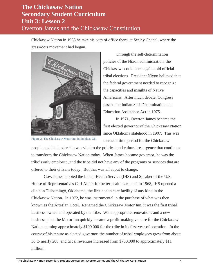Chickasaw Nation in 1963 he take his oath of office there, at Seeley Chapel, where the grassroots movement had begun.



Figure 2: The Chickasaw Motor Inn in Sulphur, OK

Through the self-determination policies of the Nixon administration, the Chickasaws could once again hold official tribal elections. President Nixon believed that the federal government needed to recognize the capacities and insights of Native Americans. After much debate, Congress passed the Indian Self-Determination and Education Assistance Act in 1975.

In 1971, Overton James became the first elected governor of the Chickasaw Nation since Oklahoma statehood in 1907. This was a crucial time period for the Chickasaw

people, and his leadership was vital to the political and cultural resurgence that continues to transform the Chickasaw Nation today. When James became governor, he was the tribe's only employee, and the tribe did not have any of the programs or services that are offered to their citizens today. But that was all about to change.

Gov. James lobbied the Indian Health Service (IHS) and Speaker of the U.S. House of Representatives Carl Albert for better health care, and in 1968, IHS opened a clinic in Tishomingo, Oklahoma, the first health care facility of any kind in the Chickasaw Nation. In 1972, he was instrumental in the purchase of what was then known as the Artesian Hotel. Renamed the Chickasaw Motor Inn, it was the first tribal business owned and operated by the tribe. With appropriate renovations and a new business plan, the Motor Inn quickly became a profit-making venture for the Chickasaw Nation, earning approximately \$100,000 for the tribe in its first year of operation. In the course of his tenure as elected governor, the number of tribal employees grew from about 30 to nearly 200, and tribal revenues increased from \$750,000 to approximately \$11 million.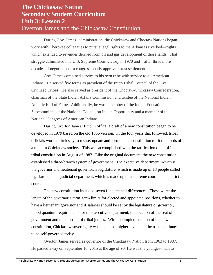During Gov. James' administration, the Chickasaw and Choctaw Nations began work with Cherokee colleagues to pursue legal rights to the Arkansas riverbed—rights which extended to revenues derived from oil and gas development of those lands. That struggle culminated in a U.S. Supreme Court victory in 1970 and—after three more decades of negotiation—a congressionally approved trust settlement.

Gov. James combined service to his own tribe with service to all American Indians. He served five terms as president of the Inter-Tribal Council of the Five Civilized Tribes. He also served as president of the Choctaw-Chickasaw Confederation, chairman of the State Indian Affairs Commission and trustee of the National Indian Athletic Hall of Fame. Additionally, he was a member of the Indian Education Subcommittee of the National Council on Indian Opportunity and a member of the National Congress of American Indians.

During Overton James' time in office, a draft of a new constitution began to be developed in 1979 based on the old 1856 version. In the four years that followed, tribal officials worked tirelessly to revise, update and formulate a constitution to fit the needs of a modern Chickasaw society. This was accomplished with the ratification of an official tribal constitution in August of 1983. Like the original document, the new constitution established a three-branch system of government. The executive department, which is the governor and lieutenant governor; a legislature, which is made up of 13 people called legislators; and a judicial department, which is made up of a supreme court and a district court.

The new constitution included seven fundamental differences. These were: the length of the governor's term, term limits for elected and appointed positions, whether to have a lieutenant governor and if salaries should be set by the legislature or governor, blood quantum requirements for the executive department, the location of the seat of government and the election of tribal judges. With the implementation of the new constitution, Chickasaw sovereignty was taken to a higher level, and the tribe continues to be self-governed today.

Overton James served as governor of the Chickasaw Nation from 1963 to 1987. He passed away on September 16, 2015 at the age of 90. He was the youngest man to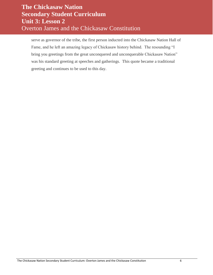serve as governor of the tribe, the first person inducted into the Chickasaw Nation Hall of Fame, and he left an amazing legacy of Chickasaw history behind. The resounding "I bring you greetings from the great unconquered and unconquerable Chickasaw Nation" was his standard greeting at speeches and gatherings. This quote became a traditional greeting and continues to be used to this day.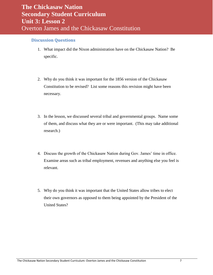#### <span id="page-6-0"></span>**Discussion Questions**

- 1. What impact did the Nixon administration have on the Chickasaw Nation? Be specific.
- 2. Why do you think it was important for the 1856 version of the Chickasaw Constitution to be revised? List some reasons this revision might have been necessary.
- 3. In the lesson, we discussed several tribal and governmental groups. Name some of them, and discuss what they are or were important. (This may take additional research.)
- 4. Discuss the growth of the Chickasaw Nation during Gov. James' time in office. Examine areas such as tribal employment, revenues and anything else you feel is relevant.
- 5. Why do you think it was important that the United States allow tribes to elect their own governors as opposed to them being appointed by the President of the United States?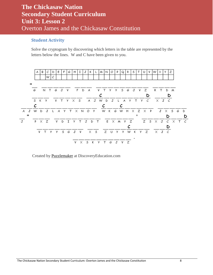#### <span id="page-7-0"></span>**Student Activity**

Solve the cryptogram by discovering which letters in the table are represented by the letters below the lines. W and C have been given to you.



Created by [Puzzlemaker](http://puzzlemaker.discoveryeducation.com/) at DiscoveryEducation.com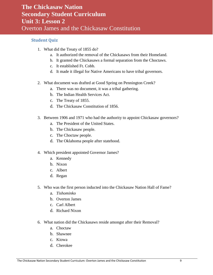#### <span id="page-8-0"></span>**Student Quiz**

- 1. What did the Treaty of 1855 do?
	- a. It authorized the removal of the Chickasaws from their Homeland.
	- b. It granted the Chickasaws a formal separation from the Choctaws.
	- c. It established Ft. Cobb.
	- d. It made it illegal for Native Americans to have tribal governors.
- 2. What document was drafted at Good Spring on Pennington Creek?
	- a. There was no document, it was a tribal gathering.
	- b. The Indian Health Services Act.
	- c. The Treaty of 1855.
	- d. The Chickasaw Constitution of 1856.
- 3. Between 1906 and 1971 who had the authority to appoint Chickasaw governors?
	- a. The President of the United States.
	- b. The Chickasaw people.
	- c. The Choctaw people.
	- d. The Oklahoma people after statehood.
- 4. Which president appointed Governor James?
	- a. Kennedy
	- b. Nixon
	- c. Albert
	- d. Regan
- 5. Who was the first person inducted into the Chickasaw Nation Hall of Fame?
	- a. *Tishominko*
	- b. Overton James
	- c. Carl Albert
	- d. Richard Nixon
- 6. What nation did the Chickasaws reside amongst after their Removal?
	- a. Choctaw
	- b. Shawnee
	- c. Kiowa
	- d. Cherokee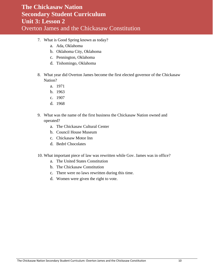- 7. What is Good Spring known as today?
	- a. Ada, Oklahoma
	- b. Oklahoma City, Oklahoma
	- c. Pennington, Oklahoma
	- d. Tishomingo, Oklahoma
- 8. What year did Overton James become the first elected governor of the Chickasaw Nation?
	- a. 1971
	- b. 1963
	- c. 1907
	- d. 1968
- 9. What was the name of the first business the Chickasaw Nation owned and operated?
	- a. The Chickasaw Cultural Center
	- b. Council House Museum
	- c. Chickasaw Motor Inn
	- d. Bedré Chocolates
- 10. What important piece of law was rewritten while Gov. James was in office?
	- a. The United States Constitution
	- b. The Chickasaw Constitution
	- c. There were no laws rewritten during this time.
	- d. Women were given the right to vote.